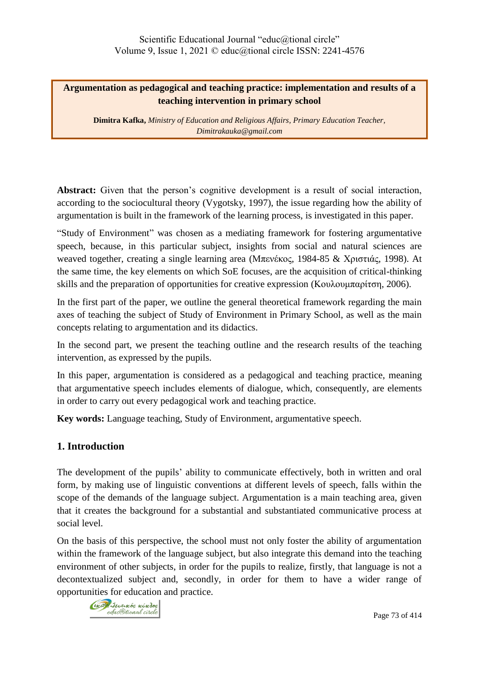# **Argumentation as pedagogical and teaching practice: implementation and results of a teaching intervention in primary school**

**Dimitra Kafka,** *Ministry of Education and Religious Affairs, Primary Education Teacher, [Dimitrakauka@gmail.com](mailto:Dimitrakauka@gmail.com)*

Abstract: Given that the person's cognitive development is a result of social interaction, according to the sociocultural theory (Vygotsky, 1997), the issue regarding how the ability of argumentation is built in the framework of the learning process, is investigated in this paper.

"Study of Environment" was chosen as a mediating framework for fostering argumentative speech, because, in this particular subject, insights from social and natural sciences are weaved together, creating a single learning area (Μπενέκος, 1984-85 & Χριστιάς, 1998). At the same time, the key elements on which SoE focuses, are the acquisition of critical-thinking skills and the preparation of opportunities for creative expression (Κουλουμπαρίτση, 2006).

In the first part of the paper, we outline the general theoretical framework regarding the main axes of teaching the subject of Study of Environment in Primary School, as well as the main concepts relating to argumentation and its didactics.

In the second part, we present the teaching outline and the research results of the teaching intervention, as expressed by the pupils.

In this paper, argumentation is considered as a pedagogical and teaching practice, meaning that argumentative speech includes elements of dialogue, which, consequently, are elements in order to carry out every pedagogical work and teaching practice.

**Key words:** Language teaching, Study of Environment, argumentative speech.

# **1. Introduction**

The development of the pupils' ability to communicate effectively, both in written and oral form, by making use of linguistic conventions at different levels of speech, falls within the scope of the demands of the language subject. Argumentation is a main teaching area, given that it creates the background for a substantial and substantiated communicative process at social level.

On the basis of this perspective, the school must not only foster the ability of argumentation within the framework of the language subject, but also integrate this demand into the teaching environment of other subjects, in order for the pupils to realize, firstly, that language is not a decontextualized subject and, secondly, in order for them to have a wider range of opportunities for education and practice.

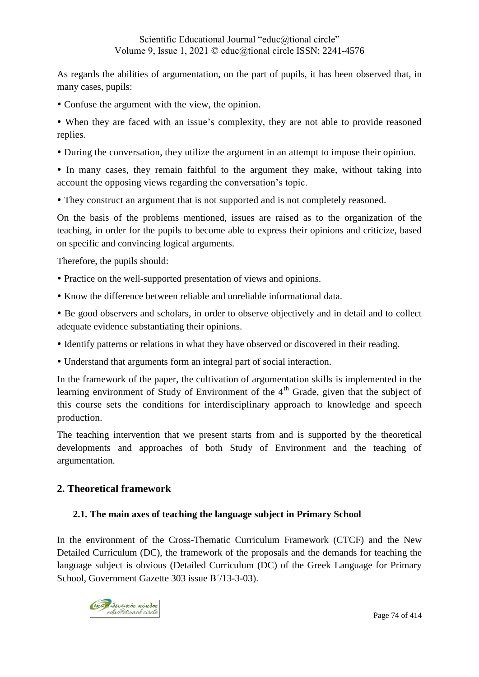As regards the abilities of argumentation, on the part of pupils, it has been observed that, in many cases, pupils:

- Confuse the argument with the view, the opinion.
- When they are faced with an issue's complexity, they are not able to provide reasoned replies.
- During the conversation, they utilize the argument in an attempt to impose their opinion.

 In many cases, they remain faithful to the argument they make, without taking into account the opposing views regarding the conversation's topic.

They construct an argument that is not supported and is not completely reasoned.

On the basis of the problems mentioned, issues are raised as to the organization of the teaching, in order for the pupils to become able to express their opinions and criticize, based on specific and convincing logical arguments.

Therefore, the pupils should:

- Practice on the well-supported presentation of views and opinions.
- Know the difference between reliable and unreliable informational data.

 Be good observers and scholars, in order to observe objectively and in detail and to collect adequate evidence substantiating their opinions.

- Identify patterns or relations in what they have observed or discovered in their reading.
- Understand that arguments form an integral part of social interaction.

In the framework of the paper, the cultivation of argumentation skills is implemented in the learning environment of Study of Environment of the  $4<sup>th</sup>$  Grade, given that the subject of this course sets the conditions for interdisciplinary approach to knowledge and speech production.

The teaching intervention that we present starts from and is supported by the theoretical developments and approaches of both Study of Environment and the teaching of argumentation.

## **2. Theoretical framework**

### **2.1. The main axes of teaching the language subject in Primary School**

In the environment of the Cross-Thematic Curriculum Framework (CTCF) and the New Detailed Curriculum (DC), the framework of the proposals and the demands for teaching the language subject is obvious (Detailed Curriculum (DC) of the Greek Language for Primary School, Government Gazette 303 issue Β΄/13-3-03).

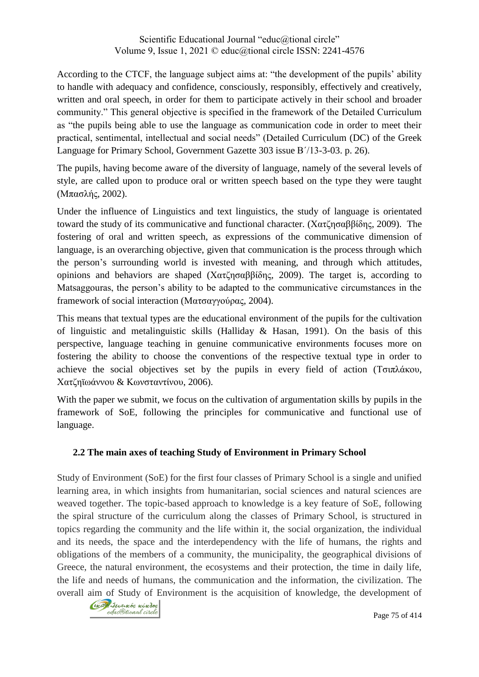According to the CTCF, the language subject aims at: "the development of the pupils' ability to handle with adequacy and confidence, consciously, responsibly, effectively and creatively, written and oral speech, in order for them to participate actively in their school and broader community." This general objective is specified in the framework of the Detailed Curriculum as "the pupils being able to use the language as communication code in order to meet their practical, sentimental, intellectual and social needs" (Detailed Curriculum (DC) of the Greek Language for Primary School, Government Gazette 303 issue Β΄/13-3-03. p. 26).

The pupils, having become aware of the diversity of language, namely of the several levels of style, are called upon to produce oral or written speech based on the type they were taught (Μπασλής, 2002).

Under the influence of Linguistics and text linguistics, the study of language is orientated toward the study of its communicative and functional character. (Χατζησαββίδης, 2009). The fostering of oral and written speech, as expressions of the communicative dimension of language, is an overarching objective, given that communication is the process through which the person's surrounding world is invested with meaning, and through which attitudes, opinions and behaviors are shaped (Χατζησαββίδης, 2009). The target is, according to Matsaggouras, the person's ability to be adapted to the communicative circumstances in the framework of social interaction (Ματσαγγούρας, 2004).

This means that textual types are the educational environment of the pupils for the cultivation of linguistic and metalinguistic skills (Halliday & Hasan, 1991). On the basis of this perspective, language teaching in genuine communicative environments focuses more on fostering the ability to choose the conventions of the respective textual type in order to achieve the social objectives set by the pupils in every field of action (Τσιπλάκου, Χατζηϊωάννου & Κωνσταντίνου, 2006).

With the paper we submit, we focus on the cultivation of argumentation skills by pupils in the framework of SoE, following the principles for communicative and functional use of language.

# **2.2 The main axes of teaching Study of Environment in Primary School**

Study of Environment (SoE) for the first four classes of Primary School is a single and unified learning area, in which insights from humanitarian, social sciences and natural sciences are weaved together. The topic-based approach to knowledge is a key feature of SoE, following the spiral structure of the curriculum along the classes of Primary School, is structured in topics regarding the community and the life within it, the social organization, the individual and its needs, the space and the interdependency with the life of humans, the rights and obligations of the members of a community, the municipality, the geographical divisions of Greece, the natural environment, the ecosystems and their protection, the time in daily life, the life and needs of humans, the communication and the information, the civilization. The overall aim of Study of Environment is the acquisition of knowledge, the development of

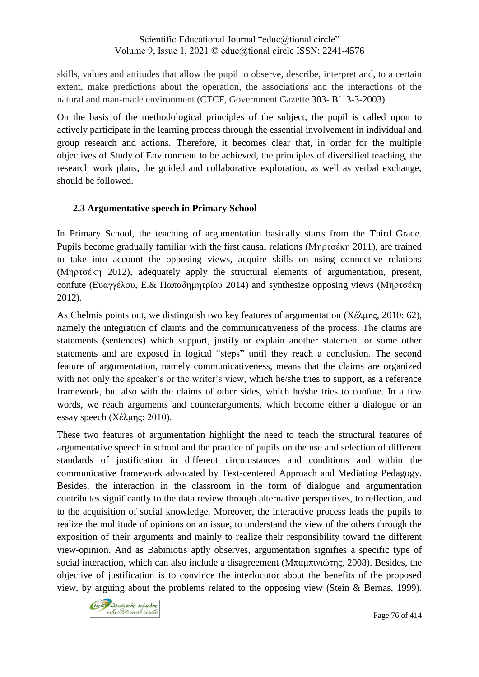skills, values and attitudes that allow the pupil to observe, describe, interpret and, to a certain extent, make predictions about the operation, the associations and the interactions of the natural and man-made environment (CTCF, Government Gazette 303- Β΄13-3-2003).

On the basis of the methodological principles of the subject, the pupil is called upon to actively participate in the learning process through the essential involvement in individual and group research and actions. Therefore, it becomes clear that, in order for the multiple objectives of Study of Environment to be achieved, the principles of diversified teaching, the research work plans, the guided and collaborative exploration, as well as verbal exchange, should be followed.

## **2.3 Argumentative speech in Primary School**

In Primary School, the teaching of argumentation basically starts from the Third Grade. Pupils become gradually familiar with the first causal relations (Μηρτσέκη 2011), are trained to take into account the opposing views, acquire skills on using connective relations (Μηρτσέκη 2012), adequately apply the structural elements of argumentation, present, confute (Ευαγγέλου, Ε. & Παπαδημητρίου 2014) and synthesize opposing views (Μηρτσέκη 2012).

As Chelmis points out, we distinguish two key features of argumentation (Χέλμης, 2010: 62), namely the integration of claims and the communicativeness of the process. The claims are statements (sentences) which support, justify or explain another statement or some other statements and are exposed in logical "steps" until they reach a conclusion. The second feature of argumentation, namely communicativeness, means that the claims are organized with not only the speaker's or the writer's view, which he/she tries to support, as a reference framework, but also with the claims of other sides, which he/she tries to confute. In a few words, we reach arguments and counterarguments, which become either a dialogue or an essay speech (Χέλμης: 2010).

These two features of argumentation highlight the need to teach the structural features of argumentative speech in school and the practice of pupils on the use and selection of different standards of justification in different circumstances and conditions and within the communicative framework advocated by Text-centered Approach and Mediating Pedagogy. Besides, the interaction in the classroom in the form of dialogue and argumentation contributes significantly to the data review through alternative perspectives, to reflection, and to the acquisition of social knowledge. Moreover, the interactive process leads the pupils to realize the multitude of opinions on an issue, to understand the view of the others through the exposition of their arguments and mainly to realize their responsibility toward the different view-opinion. And as Babiniotis aptly observes, argumentation signifies a specific type of social interaction, which can also include a disagreement (Μπαμπινιώτης, 2008). Besides, the objective of justification is to convince the interlocutor about the benefits of the proposed view, by arguing about the problems related to the opposing view (Stein & Bernas, 1999).

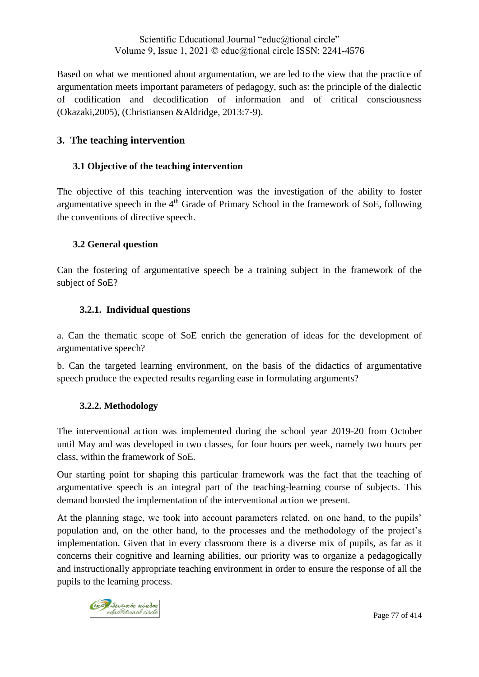Based on what we mentioned about argumentation, we are led to the view that the practice of argumentation meets important parameters of pedagogy, such as: the principle of the dialectic of codification and decodification of information and of critical consciousness (Okazaki,2005), (Christiansen &Aldridge, 2013:7-9).

# **3. The teaching intervention**

## **3.1 Objective of the teaching intervention**

The objective of this teaching intervention was the investigation of the ability to foster argumentative speech in the  $4<sup>th</sup>$  Grade of Primary School in the framework of SoE, following the conventions of directive speech.

## **3.2 General question**

Can the fostering of argumentative speech be a training subject in the framework of the subject of SoE?

## **3.2.1. Individual questions**

a. Can the thematic scope of SoE enrich the generation of ideas for the development of argumentative speech?

b. Can the targeted learning environment, on the basis of the didactics of argumentative speech produce the expected results regarding ease in formulating arguments?

## **3.2.2. Methodology**

The interventional action was implemented during the school year 2019-20 from October until May and was developed in two classes, for four hours per week, namely two hours per class, within the framework of SoE.

Our starting point for shaping this particular framework was the fact that the teaching of argumentative speech is an integral part of the teaching-learning course of subjects. This demand boosted the implementation of the interventional action we present.

At the planning stage, we took into account parameters related, on one hand, to the pupils' population and, on the other hand, to the processes and the methodology of the project's implementation. Given that in every classroom there is a diverse mix of pupils, as far as it concerns their cognitive and learning abilities, our priority was to organize a pedagogically and instructionally appropriate teaching environment in order to ensure the response of all the pupils to the learning process.

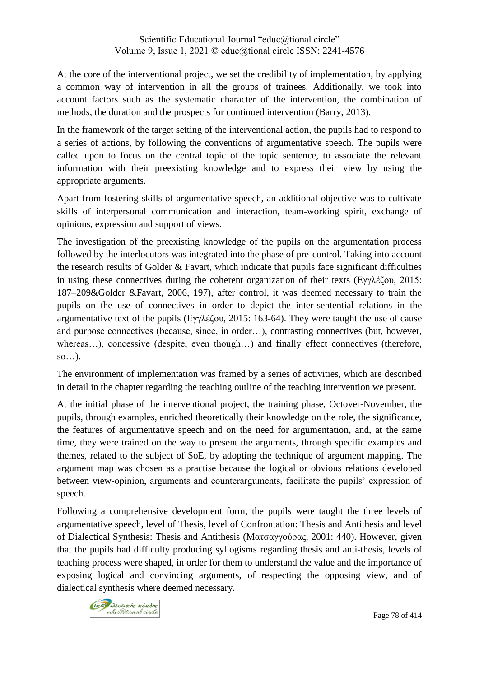At the core of the interventional project, we set the credibility of implementation, by applying a common way of intervention in all the groups of trainees. Additionally, we took into account factors such as the systematic character of the intervention, the combination of methods, the duration and the prospects for continued intervention (Barry, 2013).

In the framework of the target setting of the interventional action, the pupils had to respond to a series of actions, by following the conventions of argumentative speech. The pupils were called upon to focus on the central topic of the topic sentence, to associate the relevant information with their preexisting knowledge and to express their view by using the appropriate arguments.

Apart from fostering skills of argumentative speech, an additional objective was to cultivate skills of interpersonal communication and interaction, team-working spirit, exchange of opinions, expression and support of views.

The investigation of the preexisting knowledge of the pupils on the argumentation process followed by the interlocutors was integrated into the phase of pre-control. Taking into account the research results of Golder & Favart, which indicate that pupils face significant difficulties in using these connectives during the coherent organization of their texts (Eγγλέζου, 2015: 187–209&Golder &Favart, 2006, 197), after control, it was deemed necessary to train the pupils on the use of connectives in order to depict the inter-sentential relations in the argumentative text of the pupils (Εγγλέζου, 2015: 163-64). They were taught the use of cause and purpose connectives (because, since, in order…), contrasting connectives (but, however, whereas...), concessive (despite, even though...) and finally effect connectives (therefore,  $so...$ ).

The environment of implementation was framed by a series of activities, which are described in detail in the chapter regarding the teaching outline of the teaching intervention we present.

At the initial phase of the interventional project, the training phase, Octover-November, the pupils, through examples, enriched theoretically their knowledge on the role, the significance, the features of argumentative speech and on the need for argumentation, and, at the same time, they were trained on the way to present the arguments, through specific examples and themes, related to the subject of SoE, by adopting the technique of argument mapping. The argument map was chosen as a practise because the logical or obvious relations developed between view-opinion, arguments and counterarguments, facilitate the pupils' expression of speech.

Following a comprehensive development form, the pupils were taught the three levels of argumentative speech, level of Thesis, level of Confrontation: Thesis and Antithesis and level of Dialectical Synthesis: Thesis and Antithesis (Ματσαγγούρας, 2001: 440). However, given that the pupils had difficulty producing syllogisms regarding thesis and anti-thesis, levels of teaching process were shaped, in order for them to understand the value and the importance of exposing logical and convincing arguments, of respecting the opposing view, and of dialectical synthesis where deemed necessary.

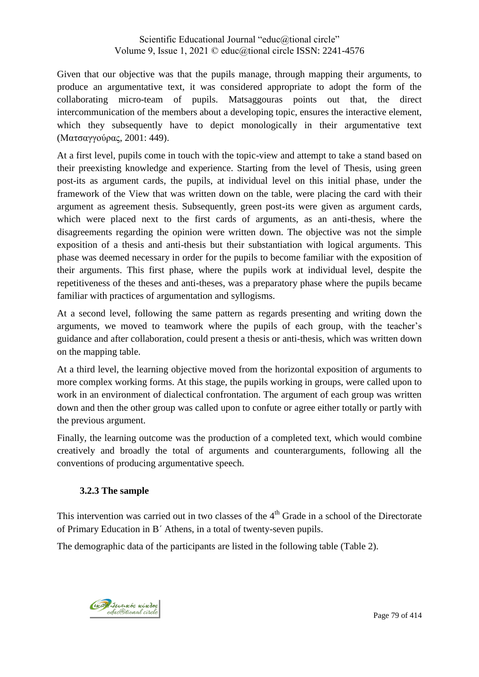Given that our objective was that the pupils manage, through mapping their arguments, to produce an argumentative text, it was considered appropriate to adopt the form of the collaborating micro-team of pupils. Matsaggouras points out that, the direct intercommunication of the members about a developing topic, ensures the interactive element, which they subsequently have to depict monologically in their argumentative text (Ματσαγγούρας, 2001: 449).

At a first level, pupils come in touch with the topic-view and attempt to take a stand based on their preexisting knowledge and experience. Starting from the level of Thesis, using green post-its as argument cards, the pupils, at individual level on this initial phase, under the framework of the View that was written down on the table, were placing the card with their argument as agreement thesis. Subsequently, green post-its were given as argument cards, which were placed next to the first cards of arguments, as an anti-thesis, where the disagreements regarding the opinion were written down. The objective was not the simple exposition of a thesis and anti-thesis but their substantiation with logical arguments. This phase was deemed necessary in order for the pupils to become familiar with the exposition of their arguments. This first phase, where the pupils work at individual level, despite the repetitiveness of the theses and anti-theses, was a preparatory phase where the pupils became familiar with practices of argumentation and syllogisms.

At a second level, following the same pattern as regards presenting and writing down the arguments, we moved to teamwork where the pupils of each group, with the teacher's guidance and after collaboration, could present a thesis or anti-thesis, which was written down on the mapping table.

At a third level, the learning objective moved from the horizontal exposition of arguments to more complex working forms. At this stage, the pupils working in groups, were called upon to work in an environment of dialectical confrontation. The argument of each group was written down and then the other group was called upon to confute or agree either totally or partly with the previous argument.

Finally, the learning outcome was the production of a completed text, which would combine creatively and broadly the total of arguments and counterarguments, following all the conventions of producing argumentative speech.

# **3.2.3 The sample**

This intervention was carried out in two classes of the  $4<sup>th</sup>$  Grade in a school of the Directorate of Primary Education in B΄ Athens, in a total of twenty-seven pupils.

The demographic data of the participants are listed in the following table (Table 2).

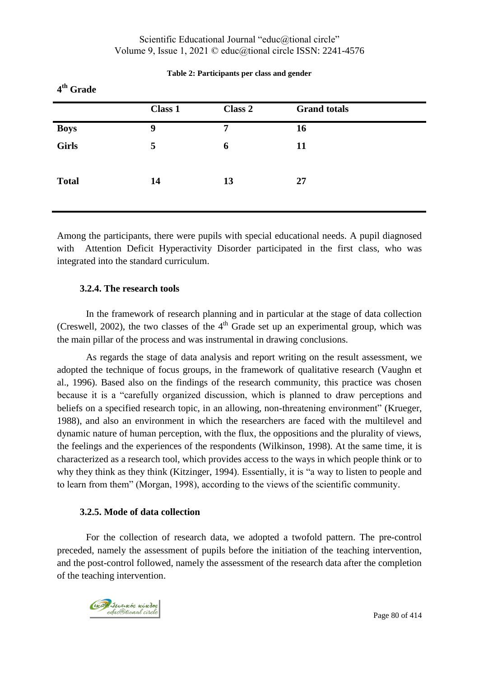| 4 <sup>th</sup> Grade |         |         |                     |  |
|-----------------------|---------|---------|---------------------|--|
|                       | Class 1 | Class 2 | <b>Grand</b> totals |  |
| <b>Boys</b>           | 9       | 7       | 16                  |  |
| Girls                 | 5       | 6       | 11                  |  |
| <b>Total</b>          | 14      | 13      | 27                  |  |

#### **Table 2: Participants per class and gender**

Among the participants, there were pupils with special educational needs. A pupil diagnosed with Attention Deficit Hyperactivity Disorder participated in the first class, who was integrated into the standard curriculum.

#### **3.2.4. The research tools**

In the framework of research planning and in particular at the stage of data collection (Creswell, 2002), the two classes of the  $4<sup>th</sup>$  Grade set up an experimental group, which was the main pillar of the process and was instrumental in drawing conclusions.

As regards the stage of data analysis and report writing on the result assessment, we adopted the technique of focus groups, in the framework of qualitative research (Vaughn et al., 1996). Based also on the findings of the research community, this practice was chosen because it is a "carefully organized discussion, which is planned to draw perceptions and beliefs on a specified research topic, in an allowing, non-threatening environment" (Krueger, 1988), and also an environment in which the researchers are faced with the multilevel and dynamic nature of human perception, with the flux, the oppositions and the plurality of views, the feelings and the experiences of the respondents (Wilkinson, 1998). At the same time, it is characterized as a research tool, which provides access to the ways in which people think or to why they think as they think (Kitzinger, 1994). Essentially, it is "a way to listen to people and to learn from them" (Morgan, 1998), according to the views of the scientific community.

### **3.2.5. Mode of data collection**

For the collection of research data, we adopted a twofold pattern. The pre-control preceded, namely the assessment of pupils before the initiation of the teaching intervention, and the post-control followed, namely the assessment of the research data after the completion of the teaching intervention.

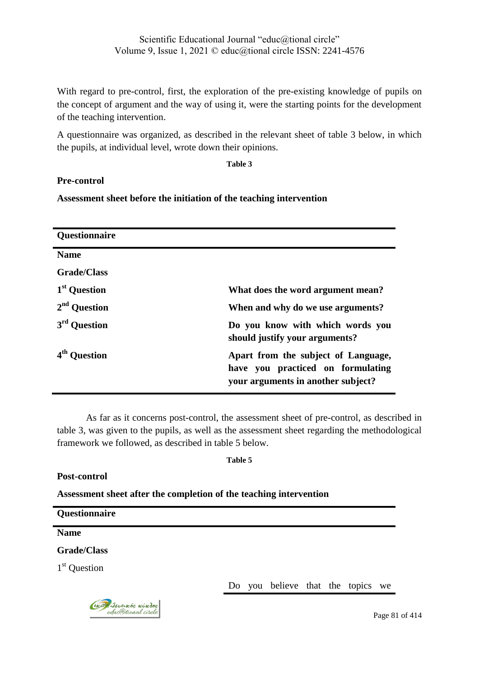With regard to pre-control, first, the exploration of the pre-existing knowledge of pupils on the concept of argument and the way of using it, were the starting points for the development of the teaching intervention.

A questionnaire was organized, as described in the relevant sheet of table 3 below, in which the pupils, at individual level, wrote down their opinions.

**Table 3**

## **Pre-control**

**Assessment sheet before the initiation of the teaching intervention**

| <b>Questionnaire</b>     |                                                                                                                |
|--------------------------|----------------------------------------------------------------------------------------------------------------|
| <b>Name</b>              |                                                                                                                |
| <b>Grade/Class</b>       |                                                                                                                |
| 1 <sup>st</sup> Question | What does the word argument mean?                                                                              |
| $2nd$ Question           | When and why do we use arguments?                                                                              |
| 3 <sup>rd</sup> Ouestion | Do you know with which words you<br>should justify your arguments?                                             |
| <b>Ouestion</b>          | Apart from the subject of Language,<br>have you practiced on formulating<br>your arguments in another subject? |

As far as it concerns post-control, the assessment sheet of pre-control, as described in table 3, was given to the pupils, as well as the assessment sheet regarding the methodological framework we followed, as described in table 5 below.

**Table 5**

## **Post-control**

**Assessment sheet after the completion of the teaching intervention**

**Questionnaire**

**Name**

**Grade/Class**

1<sup>st</sup> Question

Do you believe that the topics we



Page 81 of 414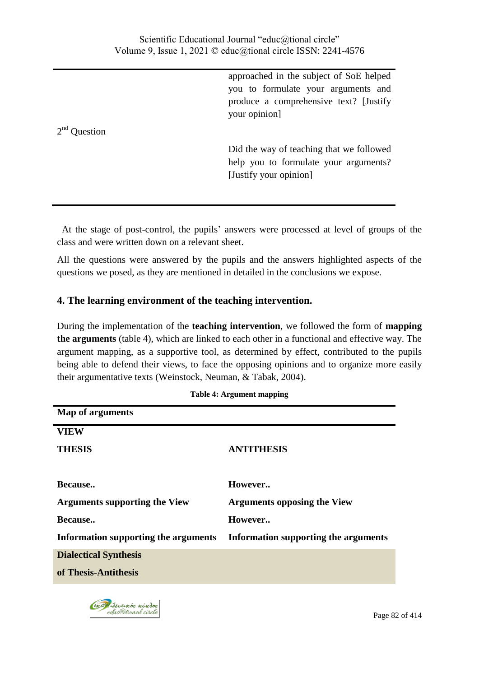approached in the subject of SoE helped you to formulate your arguments and produce a comprehensive text? [Justify your opinion]

Did the way of teaching that we followed help you to formulate your arguments? [Justify your opinion]

 At the stage of post-control, the pupils' answers were processed at level of groups of the class and were written down on a relevant sheet.

All the questions were answered by the pupils and the answers highlighted aspects of the questions we posed, as they are mentioned in detailed in the conclusions we expose.

# **4. The learning environment of the teaching intervention.**

During the implementation of the **teaching intervention**, we followed the form of **mapping the arguments** (table 4), which are linked to each other in a functional and effective way. The argument mapping, as a supportive tool, as determined by effect, contributed to the pupils being able to defend their views, to face the opposing opinions and to organize more easily their argumentative texts (Weinstock, Neuman, & Tabak, 2004).

| <b>Map of arguments</b>              |                                      |
|--------------------------------------|--------------------------------------|
| <b>VIEW</b>                          |                                      |
| <b>THESIS</b>                        | <b>ANTITHESIS</b>                    |
|                                      |                                      |
| Because                              | However                              |
| <b>Arguments supporting the View</b> | <b>Arguments opposing the View</b>   |
| Because                              | However                              |
| Information supporting the arguments | Information supporting the arguments |
| <b>Dialectical Synthesis</b>         |                                      |
| of Thesis-Antithesis                 |                                      |
|                                      |                                      |

**Table 4: Argument mapping**

2<sup>nd</sup> Question

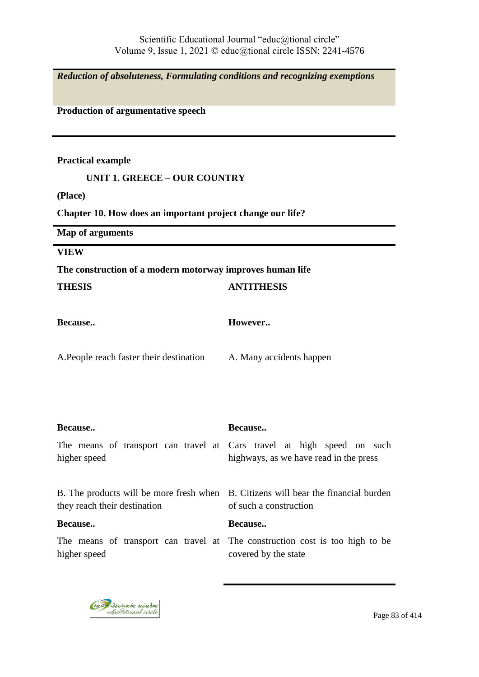*Reduction of absoluteness, Formulating conditions and recognizing exemptions*

**Production of argumentative speech** 

**Practical example**

#### **UNIT 1. GREECE – OUR COUNTRY**

**(Place)**

**Chapter 10. How does an important project change our life?**

**Map of arguments**

**VIEW**

### **The construction of a modern motorway improves human life**

| THESIS                                   | <b>ANTITHESIS</b>                                                                                                           |
|------------------------------------------|-----------------------------------------------------------------------------------------------------------------------------|
| <b>Because</b>                           | However                                                                                                                     |
| A. People reach faster their destination | A. Many accidents happen                                                                                                    |
| Because<br>higher speed                  | Because<br>The means of transport can travel at Cars travel at high speed on such<br>highways, as we have read in the press |
| they reach their destination<br>Because  | B. The products will be more fresh when B. Citizens will bear the financial burden<br>of such a construction<br>Because     |
| higher speed                             | The means of transport can travel at The construction cost is too high to be<br>covered by the state                        |

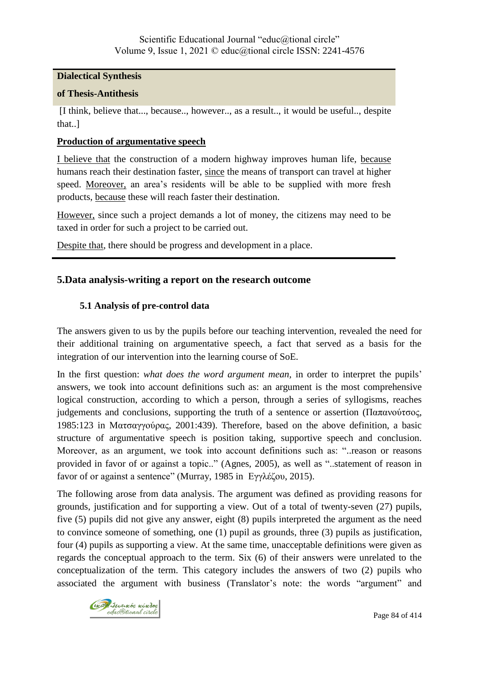### **Dialectical Synthesis**

#### **of Thesis-Antithesis**

[I think, believe that..., because.., however.., as a result.., it would be useful.., despite that..]

### **Production of argumentative speech**

I believe that the construction of a modern highway improves human life, because humans reach their destination faster, since the means of transport can travel at higher speed. Moreover, an area's residents will be able to be supplied with more fresh products, because these will reach faster their destination.

However, since such a project demands a lot of money, the citizens may need to be taxed in order for such a project to be carried out.

Despite that, there should be progress and development in a place.

## **5.Data analysis-writing a report on the research outcome**

### **5.1 Analysis of pre-control data**

The answers given to us by the pupils before our teaching intervention, revealed the need for their additional training on argumentative speech, a fact that served as a basis for the integration of our intervention into the learning course of SoE.

In the first question: *what does the word argument mean,* in order to interpret the pupils' answers, we took into account definitions such as: an argument is the most comprehensive logical construction, according to which a person, through a series of syllogisms, reaches judgements and conclusions, supporting the truth of a sentence or assertion (Παπανούτσος, 1985:123 in Ματσαγγούρας, 2001:439). Therefore, based on the above definition, a basic structure of argumentative speech is position taking, supportive speech and conclusion. Moreover, as an argument, we took into account definitions such as: "..reason or reasons provided in favor of or against a topic.." (Agnes, 2005), as well as "..statement of reason in favor of or against a sentence" (Murray, 1985 in Εγγλέζου, 2015).

The following arose from data analysis. The argument was defined as providing reasons for grounds, justification and for supporting a view. Out of a total of twenty-seven (27) pupils, five (5) pupils did not give any answer, eight (8) pupils interpreted the argument as the need to convince someone of something, one (1) pupil as grounds, three (3) pupils as justification, four (4) pupils as supporting a view. At the same time, unacceptable definitions were given as regards the conceptual approach to the term. Six (6) of their answers were unrelated to the conceptualization of the term. This category includes the answers of two (2) pupils who associated the argument with business (Translator's note: the words "argument" and

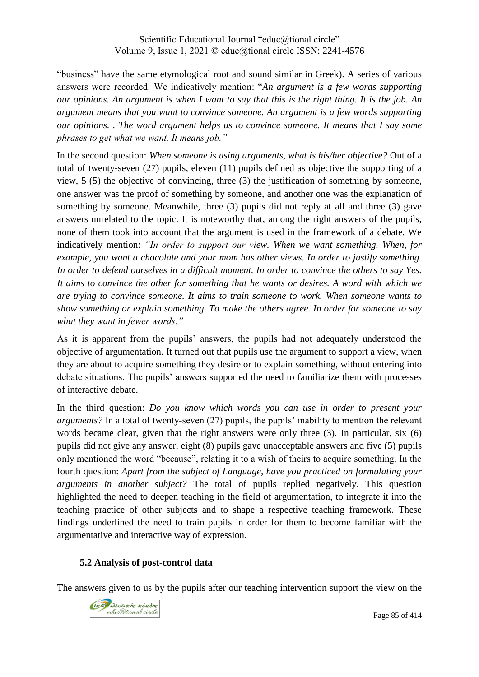"business" have the same etymological root and sound similar in Greek). A series of various answers were recorded. We indicatively mention: "*An argument is a few words supporting our opinions. An argument is when I want to say that this is the right thing. It is the job. An argument means that you want to convince someone. An argument is a few words supporting our opinions. . The word argument helps us to convince someone. It means that I say some phrases to get what we want. It means job."*

In the second question: *When someone is using arguments, what is his/her objective?* Out of a total of twenty-seven (27) pupils, eleven (11) pupils defined as objective the supporting of a view, 5 (5) the objective of convincing, three (3) the justification of something by someone, one answer was the proof of something by someone, and another one was the explanation of something by someone. Meanwhile, three (3) pupils did not reply at all and three (3) gave answers unrelated to the topic. It is noteworthy that, among the right answers of the pupils, none of them took into account that the argument is used in the framework of a debate. We indicatively mention: *"In order to support our view. When we want something. When, for example, you want a chocolate and your mom has other views. In order to justify something. In order to defend ourselves in a difficult moment. In order to convince the others to say Yes. It aims to convince the other for something that he wants or desires. A word with which we are trying to convince someone. It aims to train someone to work. When someone wants to show something or explain something. To make the others agree. In order for someone to say what they want in fewer words."*

As it is apparent from the pupils' answers, the pupils had not adequately understood the objective of argumentation. It turned out that pupils use the argument to support a view, when they are about to acquire something they desire or to explain something, without entering into debate situations. The pupils' answers supported the need to familiarize them with processes of interactive debate.

In the third question: *Do you know which words you can use in order to present your arguments?* In a total of twenty-seven (27) pupils, the pupils' inability to mention the relevant words became clear, given that the right answers were only three (3). In particular, six (6) pupils did not give any answer, eight (8) pupils gave unacceptable answers and five (5) pupils only mentioned the word "because", relating it to a wish of theirs to acquire something. In the fourth question: *Apart from the subject of Language, have you practiced on formulating your arguments in another subject?* The total of pupils replied negatively. This question highlighted the need to deepen teaching in the field of argumentation, to integrate it into the teaching practice of other subjects and to shape a respective teaching framework. These findings underlined the need to train pupils in order for them to become familiar with the argumentative and interactive way of expression.

## **5.2 Analysis of post-control data**

The answers given to us by the pupils after our teaching intervention support the view on the

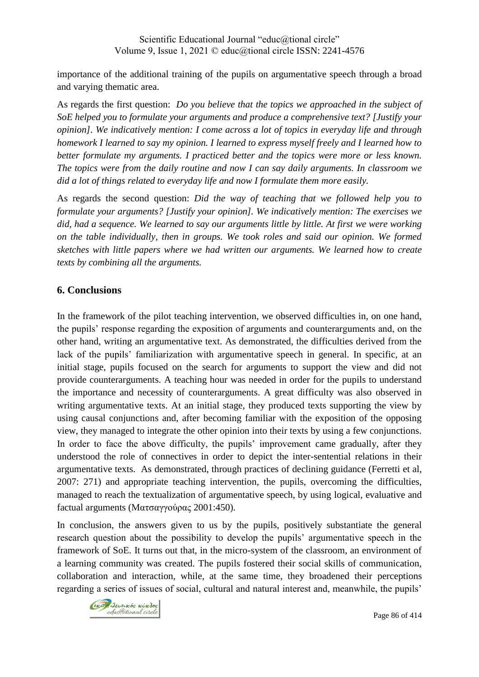importance of the additional training of the pupils on argumentative speech through a broad and varying thematic area.

As regards the first question: *Do you believe that the topics we approached in the subject of SoE helped you to formulate your arguments and produce a comprehensive text? [Justify your opinion]. We indicatively mention: I come across a lot of topics in everyday life and through homework I learned to say my opinion. I learned to express myself freely and I learned how to better formulate my arguments. I practiced better and the topics were more or less known. The topics were from the daily routine and now I can say daily arguments. In classroom we did a lot of things related to everyday life and now I formulate them more easily.*

As regards the second question: *Did the way of teaching that we followed help you to formulate your arguments? [Justify your opinion]. We indicatively mention: The exercises we did, had a sequence. We learned to say our arguments little by little. At first we were working on the table individually, then in groups. We took roles and said our opinion. We formed sketches with little papers where we had written our arguments. We learned how to create texts by combining all the arguments.*

# **6. Conclusions**

In the framework of the pilot teaching intervention, we observed difficulties in, on one hand, the pupils' response regarding the exposition of arguments and counterarguments and, on the other hand, writing an argumentative text. As demonstrated, the difficulties derived from the lack of the pupils' familiarization with argumentative speech in general. In specific, at an initial stage, pupils focused on the search for arguments to support the view and did not provide counterarguments. A teaching hour was needed in order for the pupils to understand the importance and necessity of counterarguments. A great difficulty was also observed in writing argumentative texts. At an initial stage, they produced texts supporting the view by using causal conjunctions and, after becoming familiar with the exposition of the opposing view, they managed to integrate the other opinion into their texts by using a few conjunctions. In order to face the above difficulty, the pupils' improvement came gradually, after they understood the role of connectives in order to depict the inter-sentential relations in their argumentative texts. As demonstrated, through practices of declining guidance (Ferretti et al, 2007: 271) and appropriate teaching intervention, the pupils, overcoming the difficulties, managed to reach the textualization of argumentative speech, by using logical, evaluative and factual arguments (Ματσαγγούρας 2001:450).

In conclusion, the answers given to us by the pupils, positively substantiate the general research question about the possibility to develop the pupils' argumentative speech in the framework of SoE. It turns out that, in the micro-system of the classroom, an environment of a learning community was created. The pupils fostered their social skills of communication, collaboration and interaction, while, at the same time, they broadened their perceptions regarding a series of issues of social, cultural and natural interest and, meanwhile, the pupils'

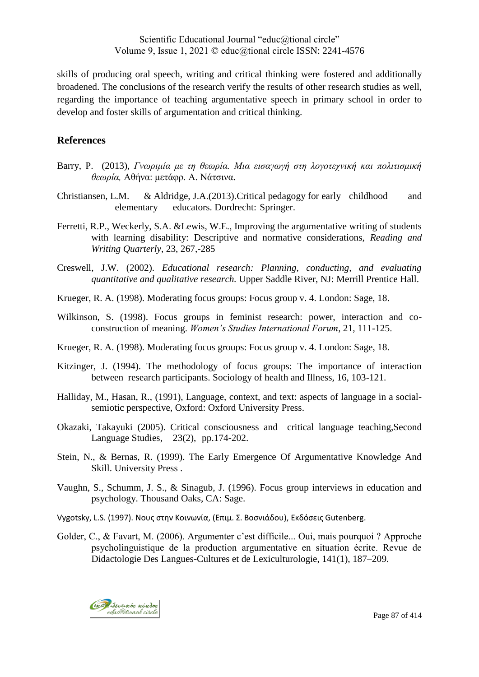skills of producing oral speech, writing and critical thinking were fostered and additionally broadened. The conclusions of the research verify the results of other research studies as well, regarding the importance of teaching argumentative speech in primary school in order to develop and foster skills of argumentation and critical thinking.

# **References**

- Barry, P. (2013), *Γνωριμία με τη θεωρία. Μια εισαγωγή στη λογοτεχνική και πολιτισμική*  θεωρία, Αθήνα: μετάφρ. Α. Νάτσινα.
- Christiansen, L.M. & Aldridge, J.A.(2013).Critical pedagogy for early childhood and elementary educators. Dordrecht: Springer.
- Ferretti, R.P., Weckerly, S.A. &Lewis, W.E., Improving the argumentative writing of students with learning disability: Descriptive and normative considerations, *Reading and Writing Quarterly*, 23, 267,-285
- Creswell, J.W. (2002). *Educational research: Planning, conducting, and evaluating quantitative and qualitative research.* Upper Saddle River, NJ: Merrill Prentice Hall.
- Krueger, R. A. (1998). Moderating focus groups: Focus group v. 4. London: Sage, 18.
- Wilkinson, S. (1998). Focus groups in feminist research: power, interaction and coconstruction of meaning. *Women's Studies International Forum*, 21, 111-125.
- Krueger, R. A. (1998). Moderating focus groups: Focus group v. 4. London: Sage, 18.
- Kitzinger, J. (1994). The methodology of focus groups: The importance of interaction between research participants. Sociology of health and Illness, 16, 103-121.
- Halliday, Μ., Hasan, R., (1991), Language, context, and text: aspects of language in a socialsemiotic perspective, Oxford: Oxford University Press.
- Okazaki, Takayuki (2005). Critical consciousness and critical language teaching,Second Language Studies, 23(2), pp.174-202.
- Stein, N., & Bernas, R. (1999). The Early Emergence Of Argumentative Knowledge And Skill. University Press .
- Vaughn, S., Schumm, J. S., & Sinagub, J. (1996). Focus group interviews in education and psychology. Thousand Oaks, CA: Sage.
- Vygotsky, L.S. (1997). Νους στην Κοινωνία, (Επιμ. Σ. Βοσνιάδου), Εκδόσεις Gutenberg.
- Golder, C., & Favart, M. (2006). Argumenter c'est difficile... Oui, mais pourquoi ? Approche psycholinguistique de la production argumentative en situation écrite. Revue de Didactologie Des Langues-Cultures et de Lexiculturologie, 141(1), 187–209.